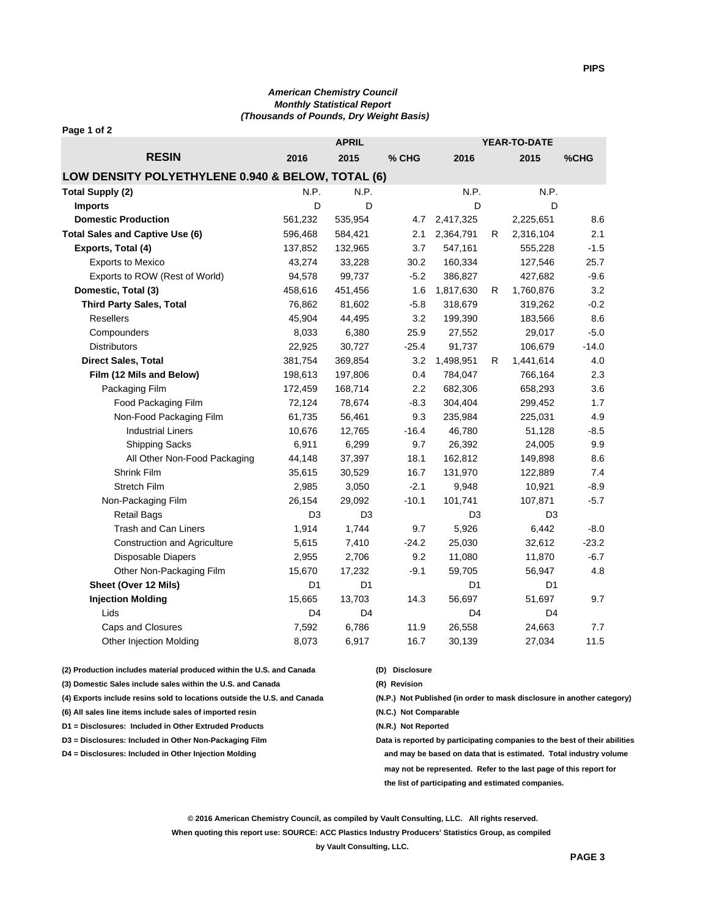## *American Chemistry Council Monthly Statistical Report (Thousands of Pounds, Dry Weight Basis)*

| Page 1 of 2                                       |                |                |         |                |                |                     |         |  |
|---------------------------------------------------|----------------|----------------|---------|----------------|----------------|---------------------|---------|--|
|                                                   |                | <b>APRIL</b>   |         |                |                | <b>YEAR-TO-DATE</b> |         |  |
| <b>RESIN</b>                                      | 2016           | 2015           | % CHG   | 2016           |                | 2015                | %CHG    |  |
| LOW DENSITY POLYETHYLENE 0.940 & BELOW, TOTAL (6) |                |                |         |                |                |                     |         |  |
| <b>Total Supply (2)</b>                           | N.P.           | N.P.           |         | N.P.           |                | N.P.                |         |  |
| <b>Imports</b>                                    | D              | D              |         | D              |                | D                   |         |  |
| <b>Domestic Production</b>                        | 561,232        | 535,954        | 4.7     | 2,417,325      |                | 2,225,651           | 8.6     |  |
| <b>Total Sales and Captive Use (6)</b>            | 596,468        | 584,421        | 2.1     | 2,364,791      | R              | 2,316,104           | 2.1     |  |
| Exports, Total (4)                                | 137,852        | 132,965        | 3.7     | 547,161        |                | 555,228             | $-1.5$  |  |
| <b>Exports to Mexico</b>                          | 43,274         | 33,228         | 30.2    | 160,334        |                | 127,546             | 25.7    |  |
| Exports to ROW (Rest of World)                    | 94,578         | 99,737         | $-5.2$  | 386,827        |                | 427,682             | $-9.6$  |  |
| Domestic, Total (3)                               | 458,616        | 451,456        | 1.6     | 1,817,630      | R              | 1,760,876           | 3.2     |  |
| <b>Third Party Sales, Total</b>                   | 76,862         | 81,602         | $-5.8$  | 318,679        |                | 319,262             | $-0.2$  |  |
| <b>Resellers</b>                                  | 45,904         | 44,495         | 3.2     | 199,390        |                | 183,566             | 8.6     |  |
| Compounders                                       | 8,033          | 6,380          | 25.9    | 27,552         |                | 29,017              | $-5.0$  |  |
| <b>Distributors</b>                               | 22,925         | 30,727         | $-25.4$ | 91,737         |                | 106,679             | $-14.0$ |  |
| Direct Sales, Total                               | 381,754        | 369,854        | 3.2     | 1,498,951      | R              | 1,441,614           | 4.0     |  |
| Film (12 Mils and Below)                          | 198,613        | 197,806        | 0.4     | 784,047        |                | 766,164             | 2.3     |  |
| Packaging Film                                    | 172,459        | 168,714        | 2.2     | 682,306        |                | 658,293             | 3.6     |  |
| Food Packaging Film                               | 72,124         | 78,674         | $-8.3$  | 304,404        |                | 299,452             | 1.7     |  |
| Non-Food Packaging Film                           | 61,735         | 56,461         | 9.3     | 235,984        |                | 225,031             | 4.9     |  |
| <b>Industrial Liners</b>                          | 10,676         | 12,765         | $-16.4$ | 46,780         |                | 51,128              | $-8.5$  |  |
| <b>Shipping Sacks</b>                             | 6,911          | 6,299          | 9.7     | 26,392         |                | 24,005              | 9.9     |  |
| All Other Non-Food Packaging                      | 44,148         | 37,397         | 18.1    | 162,812        |                | 149,898             | 8.6     |  |
| Shrink Film                                       | 35,615         | 30,529         | 16.7    | 131,970        |                | 122,889             | 7.4     |  |
| Stretch Film                                      | 2,985          | 3,050          | $-2.1$  | 9,948          |                | 10,921              | $-8.9$  |  |
| Non-Packaging Film                                | 26,154         | 29,092         | $-10.1$ | 101,741        |                | 107,871             | $-5.7$  |  |
| <b>Retail Bags</b>                                | D <sub>3</sub> | D <sub>3</sub> |         | D <sub>3</sub> | D <sub>3</sub> |                     |         |  |
| Trash and Can Liners                              | 1,914          | 1,744          | 9.7     | 5,926          |                | 6,442               | $-8.0$  |  |
| <b>Construction and Agriculture</b>               | 5,615          | 7,410          | $-24.2$ | 25,030         |                | 32,612              | $-23.2$ |  |
| Disposable Diapers                                | 2,955          | 2,706          | 9.2     | 11,080         |                | 11,870              | $-6.7$  |  |
| Other Non-Packaging Film                          | 15,670         | 17,232         | $-9.1$  | 59,705         |                | 56,947              | 4.8     |  |
| Sheet (Over 12 Mils)                              | D <sub>1</sub> | D <sub>1</sub> |         | D1             |                | D <sub>1</sub>      |         |  |
| <b>Injection Molding</b>                          | 15,665         | 13,703         | 14.3    | 56,697         | 51,697         |                     | 9.7     |  |
| Lids                                              | D4             | D <sub>4</sub> |         | D <sub>4</sub> |                | D <sub>4</sub>      |         |  |
| Caps and Closures                                 | 7,592          | 6,786          | 11.9    | 26,558         |                | 24,663              | 7.7     |  |
| Other Injection Molding                           | 8,073          | 6,917          | 16.7    | 30,139         |                | 27,034              | 11.5    |  |

**(2) Production includes material produced within the U.S. and Canada (D) Disclosure**

- **(3) Domestic Sales include sales within the U.S. and Canada (R) Revision**
- **(4) Exports include resins sold to locations outside the U.S. and Canada (N.P.) Not Published (in order to mask disclosure in another category)**
- **(6) All sales line items include sales of imported resin (N.C.) Not Comparable**
- **D1 = Disclosures: Included in Other Extruded Products (N.R.) Not Reported**
- 
- 
- 
- 
- 
- 

**D3 = Disclosures: Included in Other Non-Packaging Film Data is reported by participating companies to the best of their abilities**

**D4 = Disclosures: Included in Other Injection Molding and may be based on data that is estimated. Total industry volume may not be represented. Refer to the last page of this report for the list of participating and estimated companies.**

**© 2016 American Chemistry Council, as compiled by Vault Consulting, LLC. All rights reserved.**

**When quoting this report use: SOURCE: ACC Plastics Industry Producers' Statistics Group, as compiled by Vault Consulting, LLC.**

**PIPS**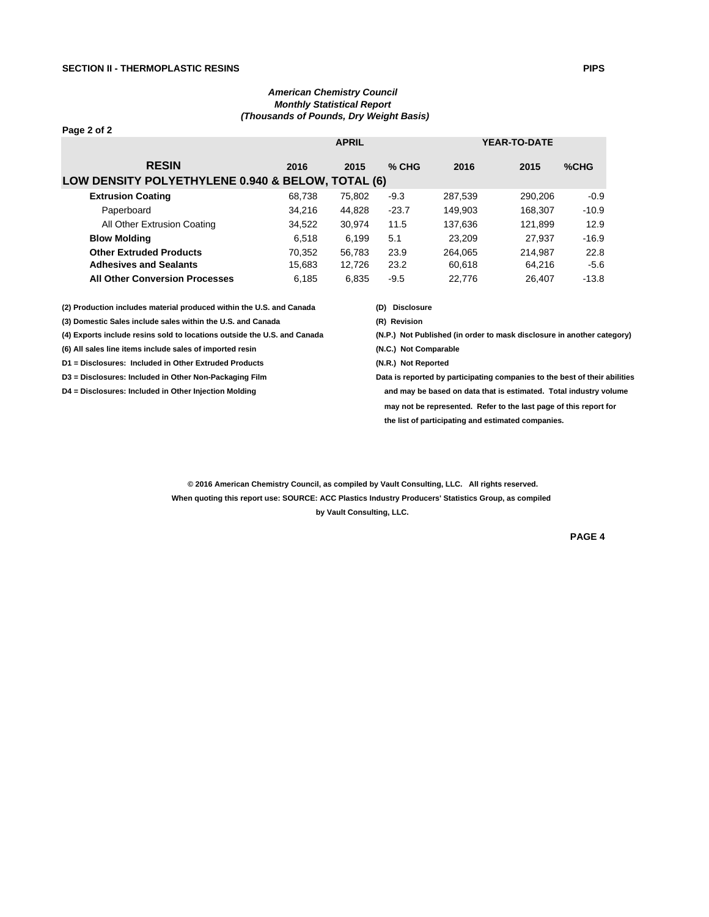## *American Chemistry Council Monthly Statistical Report (Thousands of Pounds, Dry Weight Basis)*

| Page 2 of 2                                                                                                                                                                                         |        |                     |                                                                        |         |                     |         |  |  |  |
|-----------------------------------------------------------------------------------------------------------------------------------------------------------------------------------------------------|--------|---------------------|------------------------------------------------------------------------|---------|---------------------|---------|--|--|--|
|                                                                                                                                                                                                     |        | <b>APRIL</b>        |                                                                        |         | <b>YEAR-TO-DATE</b> |         |  |  |  |
| <b>RESIN</b>                                                                                                                                                                                        | 2016   | 2015                | $%$ CHG                                                                | 2016    | 2015                | %CHG    |  |  |  |
| LOW DENSITY POLYETHYLENE 0.940 & BELOW, TOTAL (6)                                                                                                                                                   |        |                     |                                                                        |         |                     |         |  |  |  |
| <b>Extrusion Coating</b>                                                                                                                                                                            | 68,738 | 75,802              | $-9.3$                                                                 | 287,539 | 290,206             | $-0.9$  |  |  |  |
| Paperboard                                                                                                                                                                                          | 34,216 | 44,828              | $-23.7$                                                                | 149,903 | 168,307             | $-10.9$ |  |  |  |
| All Other Extrusion Coating                                                                                                                                                                         | 34,522 | 30,974              | 11.5                                                                   | 137,636 | 121,899             | 12.9    |  |  |  |
| <b>Blow Molding</b>                                                                                                                                                                                 | 6,518  | 6,199               | 5.1                                                                    | 23,209  | 27.937              | $-16.9$ |  |  |  |
| <b>Other Extruded Products</b>                                                                                                                                                                      | 70,352 | 56.783              | 23.9                                                                   | 264.065 | 214.987             | 22.8    |  |  |  |
| <b>Adhesives and Sealants</b>                                                                                                                                                                       | 15,683 | 12,726              | 23.2                                                                   | 60,618  | 64,216              | $-5.6$  |  |  |  |
| <b>All Other Conversion Processes</b>                                                                                                                                                               | 6,185  | 6,835               | $-9.5$                                                                 | 22,776  | 26,407              | $-13.8$ |  |  |  |
| (2) Production includes material produced within the U.S. and Canada                                                                                                                                |        |                     | <b>Disclosure</b><br>(D)                                               |         |                     |         |  |  |  |
| (3) Domestic Sales include sales within the U.S. and Canada<br>(4) Exports include resins sold to locations outside the U.S. and Canada<br>(6) All sales line items include sales of imported resin |        |                     | (R) Revision                                                           |         |                     |         |  |  |  |
|                                                                                                                                                                                                     |        |                     | (N.P.) Not Published (in order to mask disclosure in another category) |         |                     |         |  |  |  |
|                                                                                                                                                                                                     |        |                     | (N.C.) Not Comparable                                                  |         |                     |         |  |  |  |
| D1 = Disclosures: Included in Other Extruded Products                                                                                                                                               |        | (N.R.) Not Reported |                                                                        |         |                     |         |  |  |  |

**D3 = Disclosures: Included in Other Non-Packaging Film Data is reported by participating companies to the best of their abilities D4 = Disclosures: Included in Other Injection Molding and may be based on data that is estimated. Total industry volume may not be represented. Refer to the last page of this report for the list of participating and estimated companies.**

> **© 2016 American Chemistry Council, as compiled by Vault Consulting, LLC. All rights reserved. When quoting this report use: SOURCE: ACC Plastics Industry Producers' Statistics Group, as compiled by Vault Consulting, LLC.**

> > **PAGE 4**